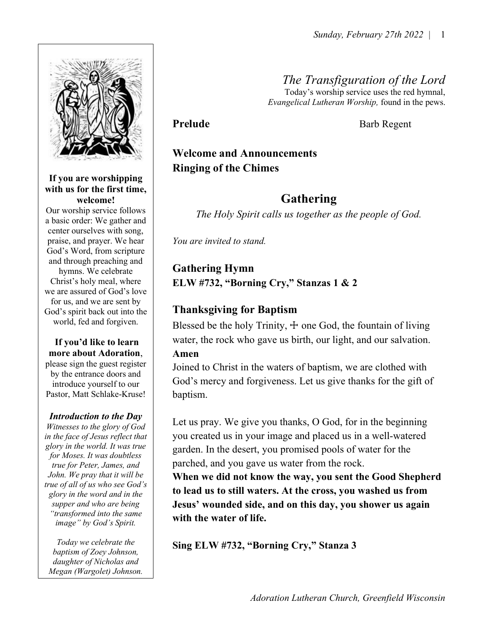

### If you are worshipping with us for the first time, welcome!

Our worship service follows a basic order: We gather and center ourselves with song, praise, and prayer. We hear God's Word, from scripture and through preaching and hymns. We celebrate Christ's holy meal, where we are assured of God's love for us, and we are sent by God's spirit back out into the world, fed and forgiven.

### If you'd like to learn more about Adoration,

please sign the guest register by the entrance doors and introduce yourself to our Pastor, Matt Schlake-Kruse!

### Introduction to the Day

Witnesses to the glory of God in the face of Jesus reflect that glory in the world. It was true for Moses. It was doubtless true for Peter, James, and John. We pray that it will be true of all of us who see God's glory in the word and in the supper and who are being "transformed into the same image" by God's Spirit.

Today we celebrate the baptism of Zoey Johnson, daughter of Nicholas and Megan (Wargolet) Johnson. The Transfiguration of the Lord Today's worship service uses the red hymnal,

Evangelical Lutheran Worship, found in the pews.

Prelude Barb Regent

# Welcome and Announcements Ringing of the Chimes

# Gathering

The Holy Spirit calls us together as the people of God.

You are invited to stand.

## Gathering Hymn

ELW #732, "Borning Cry," Stanzas 1 & 2

## Thanksgiving for Baptism

Blessed be the holy Trinity,  $\pm$  one God, the fountain of living water, the rock who gave us birth, our light, and our salvation. Amen

Joined to Christ in the waters of baptism, we are clothed with God's mercy and forgiveness. Let us give thanks for the gift of baptism.

Let us pray. We give you thanks, O God, for in the beginning you created us in your image and placed us in a well-watered garden. In the desert, you promised pools of water for the parched, and you gave us water from the rock.

When we did not know the way, you sent the Good Shepherd to lead us to still waters. At the cross, you washed us from Jesus' wounded side, and on this day, you shower us again with the water of life.

Sing ELW #732, "Borning Cry," Stanza 3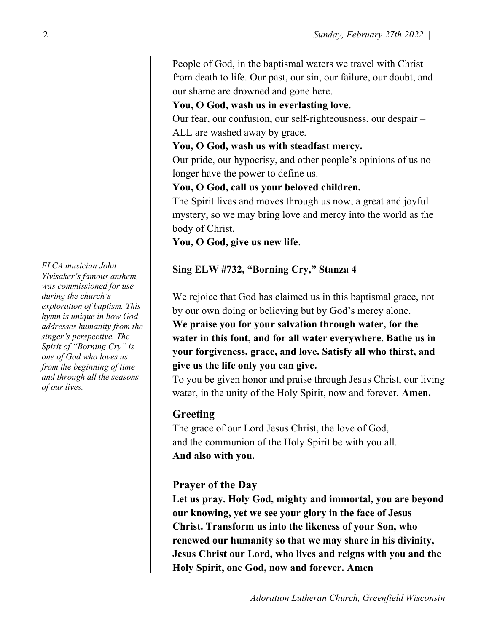People of God, in the baptismal waters we travel with Christ from death to life. Our past, our sin, our failure, our doubt, and our shame are drowned and gone here.

### You, O God, wash us in everlasting love.

Our fear, our confusion, our self-righteousness, our despair – ALL are washed away by grace.

You, O God, wash us with steadfast mercy.

Our pride, our hypocrisy, and other people's opinions of us no longer have the power to define us.

## You, O God, call us your beloved children.

The Spirit lives and moves through us now, a great and joyful mystery, so we may bring love and mercy into the world as the body of Christ.

You, O God, give us new life.

## Sing ELW #732, "Borning Cry," Stanza 4

We rejoice that God has claimed us in this baptismal grace, not by our own doing or believing but by God's mercy alone. We praise you for your salvation through water, for the water in this font, and for all water everywhere. Bathe us in your forgiveness, grace, and love. Satisfy all who thirst, and give us the life only you can give.

To you be given honor and praise through Jesus Christ, our living water, in the unity of the Holy Spirit, now and forever. Amen.

## Greeting

The grace of our Lord Jesus Christ, the love of God, and the communion of the Holy Spirit be with you all. And also with you.

## Prayer of the Day

Let us pray. Holy God, mighty and immortal, you are beyond our knowing, yet we see your glory in the face of Jesus Christ. Transform us into the likeness of your Son, who renewed our humanity so that we may share in his divinity, Jesus Christ our Lord, who lives and reigns with you and the Holy Spirit, one God, now and forever. Amen

ELCA musician John Ylvisaker's famous anthem, was commissioned for use during the church's exploration of baptism. This hymn is unique in how God addresses humanity from the singer's perspective. The Spirit of "Borning Cry" is one of God who loves us from the beginning of time and through all the seasons of our lives.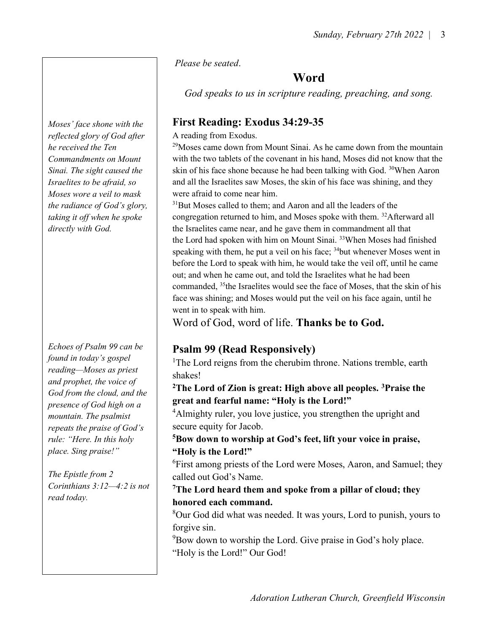Please be seated.

# Word

God speaks to us in scripture reading, preaching, and song.

# First Reading: Exodus 34:29-35

A reading from Exodus.

 $^{29}$ Moses came down from Mount Sinai. As he came down from the mountain with the two tablets of the covenant in his hand, Moses did not know that the skin of his face shone because he had been talking with God. <sup>30</sup>When Aaron and all the Israelites saw Moses, the skin of his face was shining, and they were afraid to come near him.

 $31$ But Moses called to them; and Aaron and all the leaders of the congregation returned to him, and Moses spoke with them. <sup>32</sup>Afterward all the Israelites came near, and he gave them in commandment all that the Lord had spoken with him on Mount Sinai. <sup>33</sup>When Moses had finished speaking with them, he put a veil on his face;  $34$  but whenever Moses went in before the Lord to speak with him, he would take the veil off, until he came out; and when he came out, and told the Israelites what he had been commanded, <sup>35</sup>the Israelites would see the face of Moses, that the skin of his face was shining; and Moses would put the veil on his face again, until he went in to speak with him.

Word of God, word of life. Thanks be to God.

# Psalm 99 (Read Responsively)

<sup>1</sup>The Lord reigns from the cherubim throne. Nations tremble, earth shakes!

<sup>2</sup>The Lord of Zion is great: High above all peoples. <sup>3</sup>Praise the great and fearful name: "Holy is the Lord!"

 $4$ Almighty ruler, you love justice, you strengthen the upright and secure equity for Jacob.

<sup>5</sup>Bow down to worship at God's feet, lift your voice in praise, "Holy is the Lord!"

<sup>6</sup>First among priests of the Lord were Moses, Aaron, and Samuel; they called out God's Name.

<sup>7</sup>The Lord heard them and spoke from a pillar of cloud; they honored each command.

 $8$ Our God did what was needed. It was yours, Lord to punish, yours to forgive sin.

 $9Bow$  down to worship the Lord. Give praise in God's holy place. "Holy is the Lord!" Our God!

Moses' face shone with the reflected glory of God after he received the Ten Commandments on Mount Sinai. The sight caused the Israelites to be afraid, so Moses wore a veil to mask the radiance of God's glory, taking it off when he spoke directly with God.

Echoes of Psalm 99 can be found in today's gospel reading—Moses as priest and prophet, the voice of God from the cloud, and the presence of God high on a mountain. The psalmist repeats the praise of God's rule: "Here. In this holy place. Sing praise!"

The Epistle from 2 Corinthians 3:12—4:2 is not read today.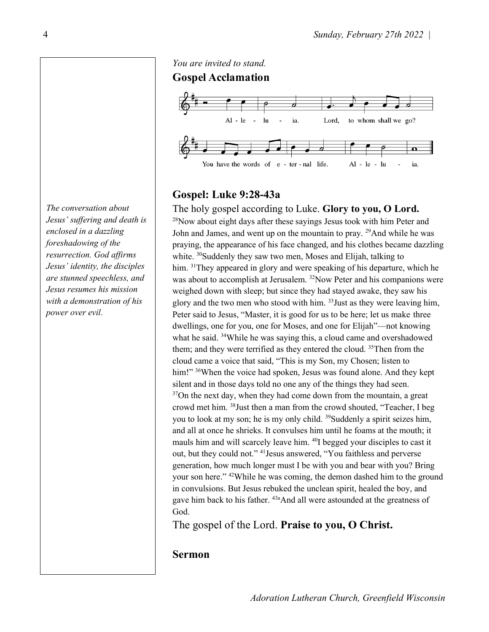The conversation about Jesus' suffering and death is enclosed in a dazzling foreshadowing of the resurrection. God affirms Jesus' identity, the disciples are stunned speechless, and Jesus resumes his mission with a demonstration of his power over evil.



## Gospel: Luke 9:28-43a

The holy gospel according to Luke. Glory to you, O Lord. <sup>28</sup>Now about eight days after these sayings Jesus took with him Peter and John and James, and went up on the mountain to pray. <sup>29</sup>And while he was praying, the appearance of his face changed, and his clothes became dazzling white. <sup>30</sup>Suddenly they saw two men, Moses and Elijah, talking to him. <sup>31</sup>They appeared in glory and were speaking of his departure, which he was about to accomplish at Jerusalem. <sup>32</sup>Now Peter and his companions were weighed down with sleep; but since they had stayed awake, they saw his glory and the two men who stood with him.  $33$  Just as they were leaving him, Peter said to Jesus, "Master, it is good for us to be here; let us make three dwellings, one for you, one for Moses, and one for Elijah"—not knowing what he said. <sup>34</sup>While he was saying this, a cloud came and overshadowed them; and they were terrified as they entered the cloud. <sup>35</sup>Then from the cloud came a voice that said, "This is my Son, my Chosen; listen to him!" <sup>36</sup>When the voice had spoken, Jesus was found alone. And they kept silent and in those days told no one any of the things they had seen.  $37$ On the next day, when they had come down from the mountain, a great crowd met him. <sup>38</sup>Just then a man from the crowd shouted, "Teacher, I beg you to look at my son; he is my only child. <sup>39</sup>Suddenly a spirit seizes him, and all at once he shrieks. It convulses him until he foams at the mouth; it mauls him and will scarcely leave him. <sup>40</sup>I begged your disciples to cast it out, but they could not." <sup>41</sup>Jesus answered, "You faithless and perverse generation, how much longer must I be with you and bear with you? Bring your son here." <sup>42</sup>While he was coming, the demon dashed him to the ground in convulsions. But Jesus rebuked the unclean spirit, healed the boy, and gave him back to his father. <sup>43a</sup>And all were astounded at the greatness of God.

The gospel of the Lord. Praise to you, O Christ.

### Sermon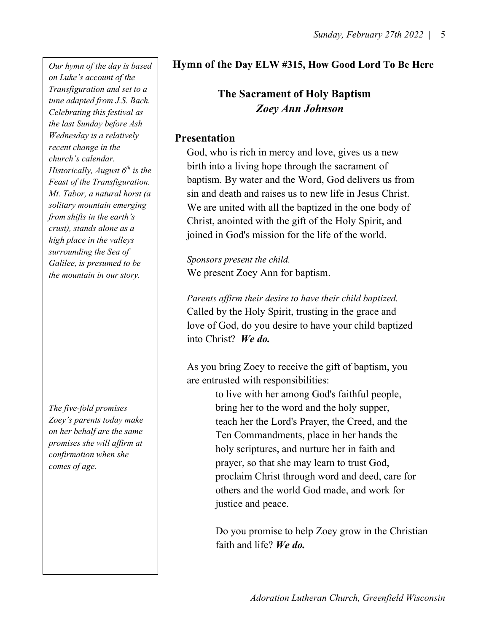Wednesday is a relatively **Presentation** Our hymn of the day is based on Luke's account of the Transfiguration and set to a tune adapted from J.S. Bach. Celebrating this festival as the last Sunday before Ash recent change in the church's calendar. Historically, August  $6<sup>th</sup>$  is the Feast of the Transfiguration. Mt. Tabor, a natural horst (a solitary mountain emerging from shifts in the earth's crust), stands alone as a high place in the valleys surrounding the Sea of Galilee, is presumed to be the mountain in our story.

The five-fold promises Zoey's parents today make on her behalf are the same promises she will affirm at confirmation when she comes of age.

## Hymn of the Day ELW #315, How Good Lord To Be Here

## The Sacrament of Holy Baptism Zoey Ann Johnson

 God, who is rich in mercy and love, gives us a new birth into a living hope through the sacrament of baptism. By water and the Word, God delivers us from sin and death and raises us to new life in Jesus Christ. We are united with all the baptized in the one body of Christ, anointed with the gift of the Holy Spirit, and joined in God's mission for the life of the world.

 Sponsors present the child. We present Zoey Ann for baptism.

 Parents affirm their desire to have their child baptized. Called by the Holy Spirit, trusting in the grace and love of God, do you desire to have your child baptized into Christ? We do.

 As you bring Zoey to receive the gift of baptism, you are entrusted with responsibilities:

> to live with her among God's faithful people, bring her to the word and the holy supper, teach her the Lord's Prayer, the Creed, and the Ten Commandments, place in her hands the holy scriptures, and nurture her in faith and prayer, so that she may learn to trust God, proclaim Christ through word and deed, care for others and the world God made, and work for justice and peace.

 Do you promise to help Zoey grow in the Christian faith and life? We do.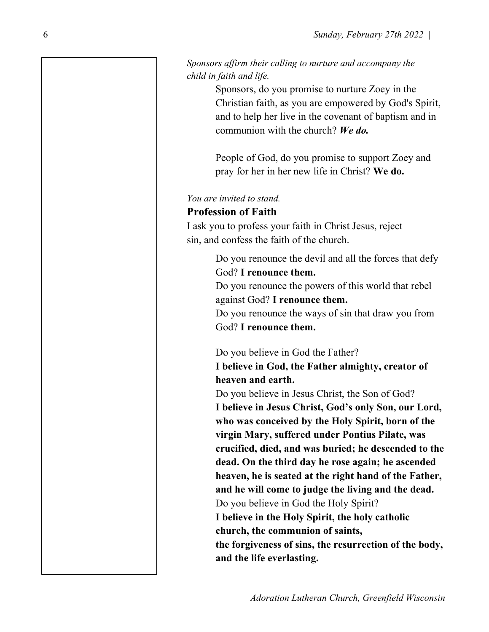### Sponsors affirm their calling to nurture and accompany the child in faith and life.

 Sponsors, do you promise to nurture Zoey in the Christian faith, as you are empowered by God's Spirit, and to help her live in the covenant of baptism and in communion with the church? We do.

 People of God, do you promise to support Zoey and pray for her in her new life in Christ? We do.

### You are invited to stand.

### Profession of Faith

 I ask you to profess your faith in Christ Jesus, reject sin, and confess the faith of the church.

> Do you renounce the devil and all the forces that defy God? I renounce them.

 Do you renounce the powers of this world that rebel against God? I renounce them.

 Do you renounce the ways of sin that draw you from God? I renounce them.

Do you believe in God the Father?

 I believe in God, the Father almighty, creator of heaven and earth.

 Do you believe in Jesus Christ, the Son of God? I believe in Jesus Christ, God's only Son, our Lord, who was conceived by the Holy Spirit, born of the virgin Mary, suffered under Pontius Pilate, was crucified, died, and was buried; he descended to the dead. On the third day he rose again; he ascended heaven, he is seated at the right hand of the Father, and he will come to judge the living and the dead. Do you believe in God the Holy Spirit? I believe in the Holy Spirit, the holy catholic church, the communion of saints, the forgiveness of sins, the resurrection of the body, and the life everlasting.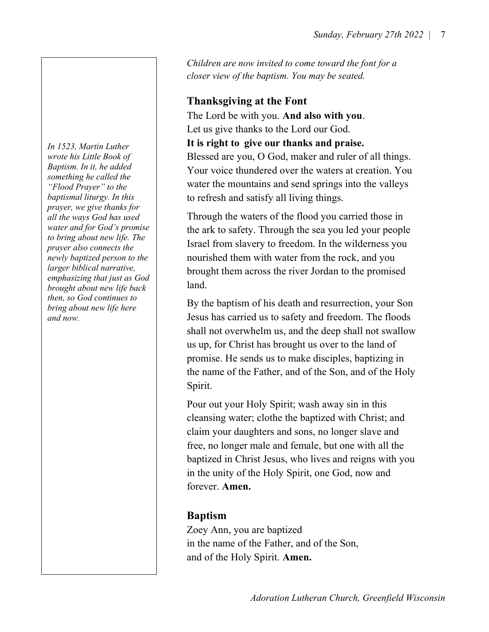Children are now invited to come toward the font for a closer view of the baptism. You may be seated.

## Thanksgiving at the Font

 The Lord be with you. And also with you. Let us give thanks to the Lord our God.

It is right to give our thanks and praise.

 Blessed are you, O God, maker and ruler of all things. Your voice thundered over the waters at creation. You water the mountains and send springs into the valleys to refresh and satisfy all living things.

 Through the waters of the flood you carried those in the ark to safety. Through the sea you led your people Israel from slavery to freedom. In the wilderness you nourished them with water from the rock, and you brought them across the river Jordan to the promised

 By the baptism of his death and resurrection, your Son Jesus has carried us to safety and freedom. The floods shall not overwhelm us, and the deep shall not swallow us up, for Christ has brought us over to the land of promise. He sends us to make disciples, baptizing in the name of the Father, and of the Son, and of the Holy Spirit.

 Pour out your Holy Spirit; wash away sin in this cleansing water; clothe the baptized with Christ; and claim your daughters and sons, no longer slave and free, no longer male and female, but one with all the baptized in Christ Jesus, who lives and reigns with you in the unity of the Holy Spirit, one God, now and forever. Amen.

## Baptism

Zoey Ann, you are baptized in the name of the Father, and of the Son, and of the Holy Spirit. Amen.

brought about new life back and. In 1523, Martin Luther wrote his Little Book of Baptism. In it, he added something he called the "Flood Prayer" to the baptismal liturgy. In this prayer, we give thanks for all the ways God has used water and for God's promise to bring about new life. The prayer also connects the newly baptized person to the larger biblical narrative, emphasizing that just as God then, so God continues to bring about new life here and now.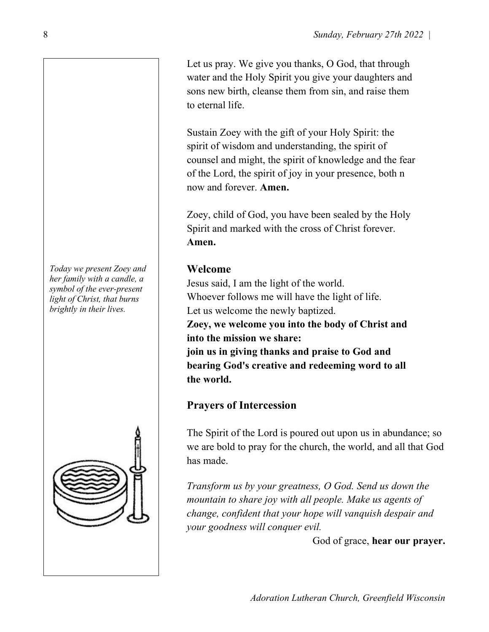Let us pray. We give you thanks, O God, that through water and the Holy Spirit you give your daughters and sons new birth, cleanse them from sin, and raise them to eternal life.

 Sustain Zoey with the gift of your Holy Spirit: the spirit of wisdom and understanding, the spirit of counsel and might, the spirit of knowledge and the fear of the Lord, the spirit of joy in your presence, both n now and forever. Amen.

 Zoey, child of God, you have been sealed by the Holy Spirit and marked with the cross of Christ forever. Amen.

Jesus said, I am the light of the world. Whoever follows me will have the light of life. Let us welcome the newly baptized. Zoey, we welcome you into the body of Christ and into the mission we share: join us in giving thanks and praise to God and bearing God's creative and redeeming word to all the world.

## Prayers of Intercession

The Spirit of the Lord is poured out upon us in abundance; so we are bold to pray for the church, the world, and all that God has made.

Transform us by your greatness, O God. Send us down the mountain to share joy with all people. Make us agents of change, confident that your hope will vanquish despair and your goodness will conquer evil.

God of grace, hear our prayer.

 $\mid$  Today we present Zoey and  $\mid$  Welcome her family with a candle, a symbol of the ever-present light of Christ, that burns brightly in their lives.

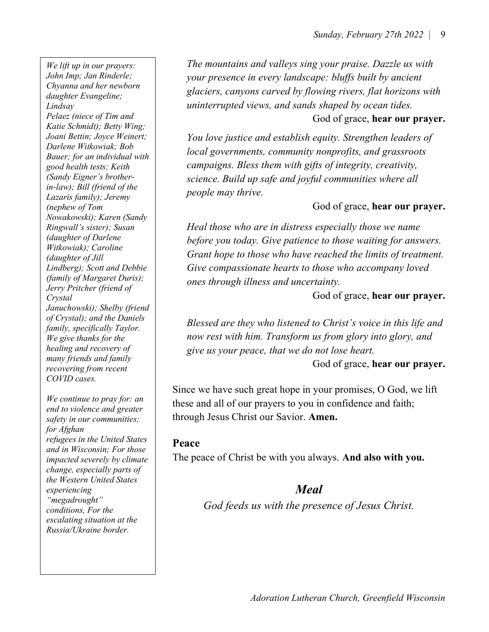Januchowski); Shelby (friend COVID cases. We lift up in our prayers: John Imp; Jan Rinderle; Chyanna and her newborn daughter Evangeline; Lindsay Pelaez (niece of Tim and Katie Schmidt); Betty Wing; Joani Bettin; Joyce Weinert; Darlene Witkowiak; Bob Bauer; for an individual with good health tests; Keith (Sandy Eigner's brotherin-law); Bill (friend of the Lazaris family); Jeremy (nephew of Tom Nowakowski); Karen (Sandy Ringwall's sister); Susan (daughter of Darlene Witkowiak); Caroline (daughter of Jill Lindberg); Scott and Debbie (family of Margaret Duris); Jerry Pritcher (friend of Crystal of Crystal); and the Daniels family, specifically Taylor. We give thanks for the healing and recovery of many friends and family recovering from recent We continue to pray for: an

end to violence and greater safety in our communities; for Afghan refugees in the United States and in Wisconsin; For those impacted severely by climate change, especially parts of the Western United States experiencing "megadrought" conditions, For the escalating situation at the Russia/Ukraine border.

The mountains and valleys sing your praise. Dazzle us with your presence in every landscape: bluffs built by ancient glaciers, canyons carved by flowing rivers, flat horizons with uninterrupted views, and sands shaped by ocean tides. God of grace, hear our prayer.

You love justice and establish equity. Strengthen leaders of local governments, community nonprofits, and grassroots campaigns. Bless them with gifts of integrity, creativity, science. Build up safe and joyful communities where all people may thrive.

### God of grace, hear our prayer.

Heal those who are in distress especially those we name before you today. Give patience to those waiting for answers. Grant hope to those who have reached the limits of treatment. Give compassionate hearts to those who accompany loved ones through illness and uncertainty.

God of grace, hear our prayer.

Blessed are they who listened to Christ's voice in this life and now rest with him. Transform us from glory into glory, and give us your peace, that we do not lose heart.

God of grace, hear our prayer.

Since we have such great hope in your promises, O God, we lift these and all of our prayers to you in confidence and faith; through Jesus Christ our Savior. Amen.

### Peace

The peace of Christ be with you always. And also with you.

## Meal

God feeds us with the presence of Jesus Christ.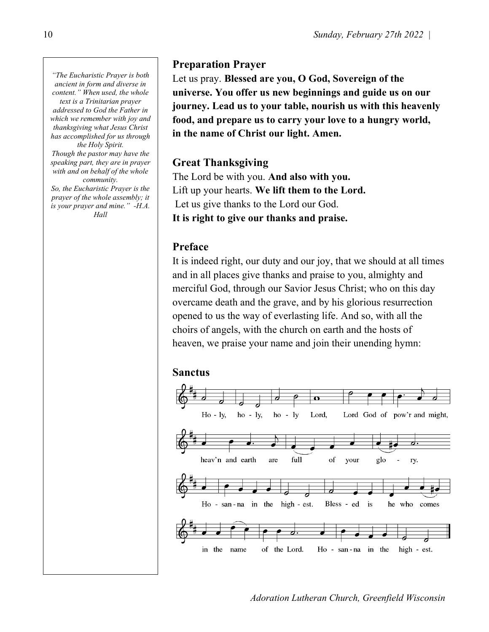"The Eucharistic Prayer is both ancient in form and diverse in content." When used, the whole text is a Trinitarian prayer addressed to God the Father in which we remember with joy and thanksgiving what Jesus Christ has accomplished for us through the Holy Spirit. Though the pastor may have the speaking part, they are in prayer with and on behalf of the whole

community. So, the Eucharistic Prayer is the prayer of the whole assembly; it is your prayer and mine." -H.A. Hall

## Preparation Prayer

Let us pray. Blessed are you, O God, Sovereign of the universe. You offer us new beginnings and guide us on our journey. Lead us to your table, nourish us with this heavenly food, and prepare us to carry your love to a hungry world, in the name of Christ our light. Amen.

## Great Thanksgiving

The Lord be with you. And also with you. Lift up your hearts. We lift them to the Lord. Let us give thanks to the Lord our God. It is right to give our thanks and praise.

## Preface

It is indeed right, our duty and our joy, that we should at all times and in all places give thanks and praise to you, almighty and merciful God, through our Savior Jesus Christ; who on this day overcame death and the grave, and by his glorious resurrection opened to us the way of everlasting life. And so, with all the choirs of angels, with the church on earth and the hosts of heaven, we praise your name and join their unending hymn:

### Sanctus



Adoration Lutheran Church, Greenfield Wisconsin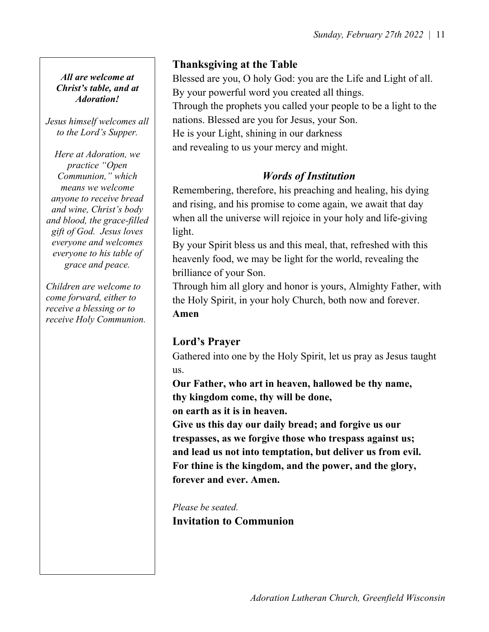### All are welcome at Christ's table, and at Adoration!

Jesus himself welcomes all to the Lord's Supper.

Here at Adoration, we practice "Open Communion," which means we welcome anyone to receive bread and wine, Christ's body and blood, the grace-filled gift of God. Jesus loves everyone and welcomes everyone to his table of grace and peace.

Children are welcome to come forward, either to receive a blessing or to receive Holy Communion.

# Thanksgiving at the Table

Blessed are you, O holy God: you are the Life and Light of all. By your powerful word you created all things. Through the prophets you called your people to be a light to the nations. Blessed are you for Jesus, your Son. He is your Light, shining in our darkness

and revealing to us your mercy and might.

## Words of Institution

Remembering, therefore, his preaching and healing, his dying and rising, and his promise to come again, we await that day when all the universe will rejoice in your holy and life-giving light.

By your Spirit bless us and this meal, that, refreshed with this heavenly food, we may be light for the world, revealing the brilliance of your Son.

Through him all glory and honor is yours, Almighty Father, with the Holy Spirit, in your holy Church, both now and forever. Amen

## Lord's Prayer

Gathered into one by the Holy Spirit, let us pray as Jesus taught us.

Our Father, who art in heaven, hallowed be thy name, thy kingdom come, thy will be done,

on earth as it is in heaven.

Give us this day our daily bread; and forgive us our trespasses, as we forgive those who trespass against us; and lead us not into temptation, but deliver us from evil. For thine is the kingdom, and the power, and the glory, forever and ever. Amen.

Please be seated. Invitation to Communion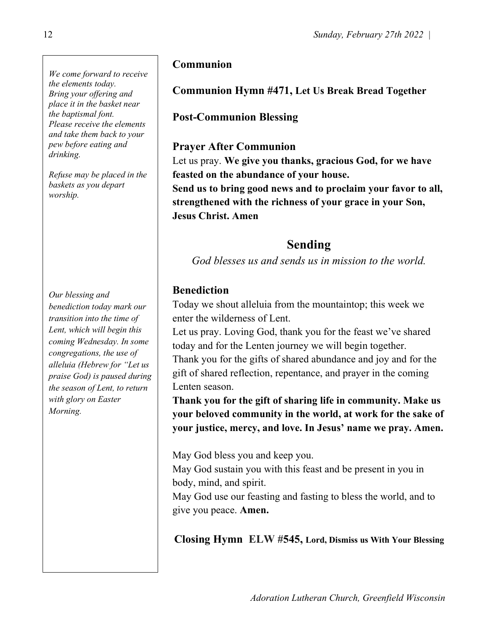We come forward to receive the elements today. Bring your offering and place it in the basket near the baptismal font. Please receive the elements and take them back to your pew before eating and drinking.

Refuse may be placed in the baskets as you depart worship.

Our blessing and benediction today mark our transition into the time of Lent, which will begin this coming Wednesday. In some congregations, the use of alleluia (Hebrew for "Let us praise God) is paused during the season of Lent, to return with glory on Easter Morning.

## Communion

# Communion Hymn #471, Let Us Break Bread Together

## Post-Communion Blessing

## Prayer After Communion

Let us pray. We give you thanks, gracious God, for we have feasted on the abundance of your house.

Send us to bring good news and to proclaim your favor to all, strengthened with the richness of your grace in your Son, Jesus Christ. Amen

## Sending

God blesses us and sends us in mission to the world.

## Benediction

Today we shout alleluia from the mountaintop; this week we enter the wilderness of Lent.

Let us pray. Loving God, thank you for the feast we've shared today and for the Lenten journey we will begin together. Thank you for the gifts of shared abundance and joy and for the gift of shared reflection, repentance, and prayer in the coming Lenten season.

Thank you for the gift of sharing life in community. Make us your beloved community in the world, at work for the sake of your justice, mercy, and love. In Jesus' name we pray. Amen.

May God bless you and keep you.

May God sustain you with this feast and be present in you in body, mind, and spirit.

May God use our feasting and fasting to bless the world, and to give you peace. Amen.

Closing Hymn ELW #545, Lord, Dismiss us With Your Blessing